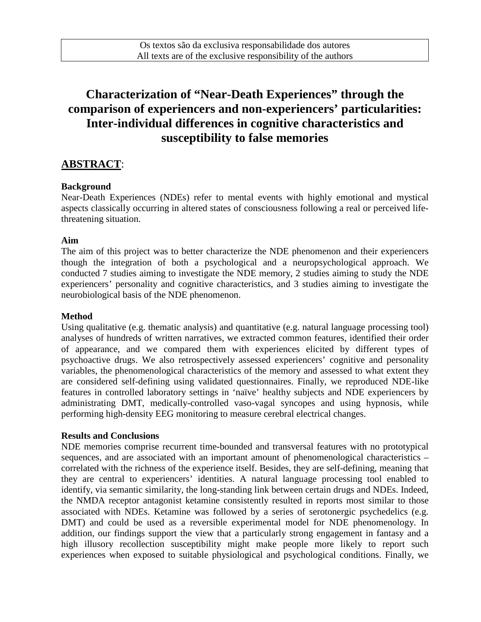# **Characterization of "Near-Death Experiences" through the comparison of experiencers and non-experiencers' particularities: Inter-individual differences in cognitive characteristics and susceptibility to false memories**

## **ABSTRACT**:

#### **Background**

Near-Death Experiences (NDEs) refer to mental events with highly emotional and mystical aspects classically occurring in altered states of consciousness following a real or perceived lifethreatening situation.

#### **Aim**

The aim of this project was to better characterize the NDE phenomenon and their experiencers though the integration of both a psychological and a neuropsychological approach. We conducted 7 studies aiming to investigate the NDE memory, 2 studies aiming to study the NDE experiencers' personality and cognitive characteristics, and 3 studies aiming to investigate the neurobiological basis of the NDE phenomenon.

#### **Method**

Using qualitative (e.g. thematic analysis) and quantitative (e.g. natural language processing tool) analyses of hundreds of written narratives, we extracted common features, identified their order of appearance, and we compared them with experiences elicited by different types of psychoactive drugs. We also retrospectively assessed experiencers' cognitive and personality variables, the phenomenological characteristics of the memory and assessed to what extent they are considered self-defining using validated questionnaires. Finally, we reproduced NDE-like features in controlled laboratory settings in 'naïve' healthy subjects and NDE experiencers by administrating DMT, medically-controlled vaso-vagal syncopes and using hypnosis, while performing high-density EEG monitoring to measure cerebral electrical changes.

#### **Results and Conclusions**

NDE memories comprise recurrent time-bounded and transversal features with no prototypical sequences, and are associated with an important amount of phenomenological characteristics – correlated with the richness of the experience itself. Besides, they are self-defining, meaning that they are central to experiencers' identities. A natural language processing tool enabled to identify, via semantic similarity, the long-standing link between certain drugs and NDEs. Indeed, the NMDA receptor antagonist ketamine consistently resulted in reports most similar to those associated with NDEs. Ketamine was followed by a series of serotonergic psychedelics (e.g. DMT) and could be used as a reversible experimental model for NDE phenomenology. In addition, our findings support the view that a particularly strong engagement in fantasy and a high illusory recollection susceptibility might make people more likely to report such experiences when exposed to suitable physiological and psychological conditions. Finally, we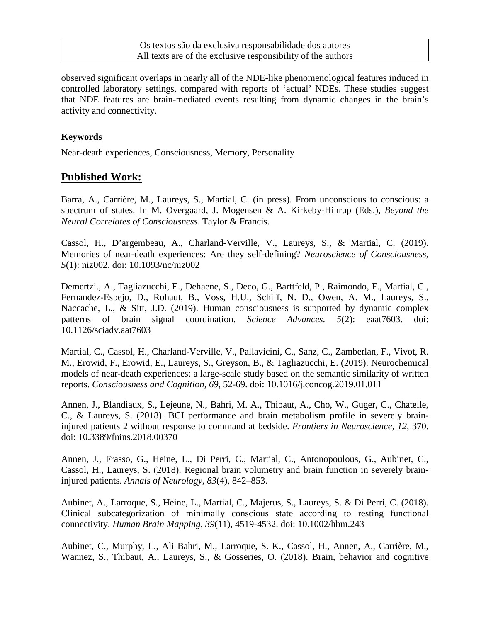observed significant overlaps in nearly all of the NDE-like phenomenological features induced in controlled laboratory settings, compared with reports of 'actual' NDEs. These studies suggest that NDE features are brain-mediated events resulting from dynamic changes in the brain's activity and connectivity.

### **Keywords**

Near-death experiences, Consciousness, Memory, Personality

## **Published Work:**

Barra, A., Carrière, M., Laureys, S., Martial, C. (in press). From unconscious to conscious: a spectrum of states. In M. Overgaard, J. Mogensen & A. Kirkeby-Hinrup (Eds.), *Beyond the Neural Correlates of Consciousness*. Taylor & Francis.

Cassol, H., D'argembeau, A., Charland-Verville, V., Laureys, S., & Martial, C. (2019). Memories of near-death experiences: Are they self-defining? *Neuroscience of Consciousness, 5*(1): niz002. doi: 10.1093/nc/niz002

Demertzi., A., Tagliazucchi, E., Dehaene, S., Deco, G., Barttfeld, P., Raimondo, F., Martial, C., Fernandez-Espejo, D., Rohaut, B., Voss, H.U., Schiff, N. D., Owen, A. M., Laureys, S., Naccache, L., & Sitt, J.D. (2019). Human consciousness is supported by dynamic complex patterns of brain signal coordination. *Science Advances. 5*(2): eaat7603. doi: 10.1126/sciadv.aat7603

Martial, C., Cassol, H., Charland-Verville, V., Pallavicini, C., Sanz, C., Zamberlan, F., Vivot, R. M., Erowid, F., Erowid, E., Laureys, S., Greyson, B., & Tagliazucchi, E. (2019). Neurochemical models of near-death experiences: a large-scale study based on the semantic similarity of written reports. *Consciousness and Cognition, 69*, 52-69. doi: 10.1016/j.concog.2019.01.011

Annen, J., Blandiaux, S., Lejeune, N., Bahri, M. A., Thibaut, A., Cho, W., Guger, C., Chatelle, C., & Laureys, S. (2018). BCI performance and brain metabolism profile in severely braininjured patients 2 without response to command at bedside. *Frontiers in Neuroscience, 12*, 370. doi: 10.3389/fnins.2018.00370

Annen, J., Frasso, G., Heine, L., Di Perri, C., Martial, C., Antonopoulous, G., Aubinet, C., Cassol, H., Laureys, S. (2018). Regional brain volumetry and brain function in severely braininjured patients. *Annals of Neurology, 83*(4), 842–853.

Aubinet, A., Larroque, S., Heine, L., Martial, C., Majerus, S., Laureys, S. & Di Perri, C. (2018). Clinical subcategorization of minimally conscious state according to resting functional connectivity. *Human Brain Mapping, 39*(11), 4519-4532. doi: 10.1002/hbm.243

Aubinet, C., Murphy, L., Ali Bahri, M., Larroque, S. K., Cassol, H., Annen, A., Carrière, M., Wannez, S., Thibaut, A., Laureys, S., & Gosseries, O. (2018). Brain, behavior and cognitive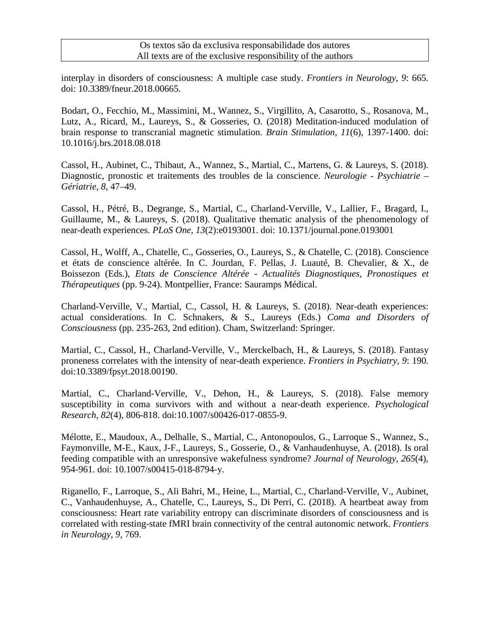#### Os textos são da exclusiva responsabilidade dos autores All texts are of the exclusive responsibility of the authors

interplay in disorders of consciousness: A multiple case study. *Frontiers in Neurology, 9*: 665. doi: 10.3389/fneur.2018.00665.

Bodart, O., Fecchio, M., Massimini, M., Wannez, S., Virgillito, A, Casarotto, S., Rosanova, M., Lutz, A., Ricard, M., Laureys, S., & Gosseries, O. (2018) Meditation-induced modulation of brain response to transcranial magnetic stimulation. *Brain Stimulation, 11*(6), 1397-1400. doi: 10.1016/j.brs.2018.08.018

Cassol, H., Aubinet, C., Thibaut, A., Wannez, S., Martial, C., Martens, G. & Laureys, S. (2018). Diagnostic, pronostic et traitements des troubles de la conscience. *Neurologie - Psychiatrie – Gériatrie, 8*, 47–49.

Cassol, H., Pétré, B., Degrange, S., Martial, C., Charland-Verville, V., Lallier, F., Bragard, I., Guillaume, M., & Laureys, S. (2018). Qualitative thematic analysis of the phenomenology of near-death experiences. *PLoS One, 13*(2):e0193001. doi: 10.1371/journal.pone.0193001

Cassol, H., Wolff, A., Chatelle, C., Gosseries, O., Laureys, S., & Chatelle, C. (2018). Conscience et états de conscience altérée. In C. Jourdan, F. Pellas, J. Luauté, B. Chevalier, & X., de Boissezon (Eds.), *Etats de Conscience Altérée - Actualités Diagnostiques, Pronostiques et Thérapeutiques* (pp. 9-24). Montpellier, France: Sauramps Médical.

Charland-Verville, V., Martial, C., Cassol, H. & Laureys, S. (2018). Near-death experiences: actual considerations. In C. Schnakers, & S., Laureys (Eds.) *Coma and Disorders of Consciousness* (pp. 235-263, 2nd edition). Cham, Switzerland: Springer.

Martial, C., Cassol, H., Charland-Verville, V., Merckelbach, H., & Laureys, S. (2018). Fantasy proneness correlates with the intensity of near-death experience. *Frontiers in Psychiatry, 9*: 190. doi:10.3389/fpsyt.2018.00190.

Martial, C., Charland-Verville, V., Dehon, H., & Laureys, S. (2018). False memory susceptibility in coma survivors with and without a near-death experience. *Psychological Research, 82*(4), 806-818. doi:10.1007/s00426-017-0855-9.

Mélotte, E., Maudoux, A., Delhalle, S., Martial, C., Antonopoulos, G., Larroque S., Wannez, S., Faymonville, M-E., Kaux, J-F., Laureys, S., Gosserie, O., & Vanhaudenhuyse, A. (2018). Is oral feeding compatible with an unresponsive wakefulness syndrome? *Journal of Neurology, 265*(4), 954-961. doi: 10.1007/s00415-018-8794-y.

Riganello, F., Larroque, S., Ali Bahri, M., Heine, L., Martial, C., Charland-Verville, V., Aubinet, C., Vanhaudenhuyse, A., Chatelle, C., Laureys, S., Di Perri, C. (2018). A heartbeat away from consciousness: Heart rate variability entropy can discriminate disorders of consciousness and is correlated with resting-state fMRI brain connectivity of the central autonomic network. *Frontiers in Neurology, 9*, 769.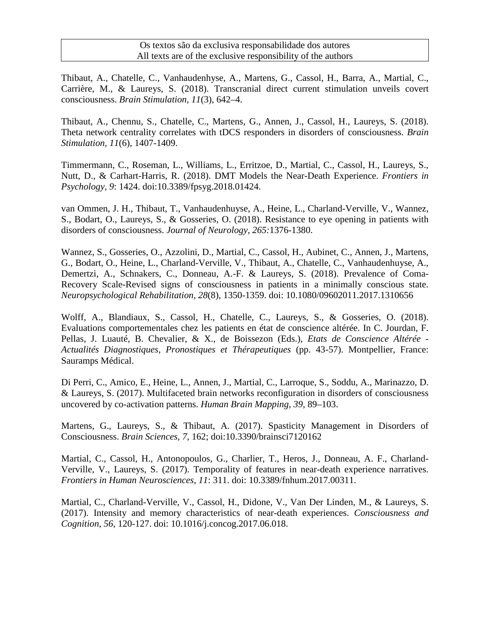Thibaut, A., Chatelle, C., Vanhaudenhyse, A., Martens, G., Cassol, H., Barra, A., Martial, C., Carrière, M., & Laureys, S. (2018). Transcranial direct current stimulation unveils covert consciousness. *Brain Stimulation, 11*(3), 642–4.

Thibaut, A., Chennu, S., Chatelle, C., Martens, G., Annen, J., Cassol, H., Laureys, S. (2018). Theta network centrality correlates with tDCS responders in disorders of consciousness. *Brain Stimulation, 11*(6), 1407-1409.

Timmermann, C., Roseman, L., Williams, L., Erritzoe, D., Martial, C., Cassol, H., Laureys, S., Nutt, D., & Carhart-Harris, R. (2018). DMT Models the Near-Death Experience. *Frontiers in Psychology, 9*: 1424. doi:10.3389/fpsyg.2018.01424.

van Ommen, J. H., Thibaut, T., Vanhaudenhuyse, A., Heine, L., Charland-Verville, V., Wannez, S., Bodart, O., Laureys, S., & Gosseries, O. (2018). Resistance to eye opening in patients with disorders of consciousness. *Journal of Neurology, 265:*1376-1380.

Wannez, S., Gosseries, O., Azzolini, D., Martial, C., Cassol, H., Aubinet, C., Annen, J., Martens, G., Bodart, O., Heine, L., Charland-Verville, V., Thibaut, A., Chatelle, C., Vanhaudenhuyse, A., Demertzi, A., Schnakers, C., Donneau, A.-F. & Laureys, S. (2018). Prevalence of Coma-Recovery Scale-Revised signs of consciousness in patients in a minimally conscious state. *Neuropsychological Rehabilitation, 28*(8), 1350-1359. doi: 10.1080/09602011.2017.1310656

Wolff, A., Blandiaux, S., Cassol, H., Chatelle, C., Laureys, S., & Gosseries, O. (2018). Evaluations comportementales chez les patients en état de conscience altérée. In C. Jourdan, F. Pellas, J. Luauté, B. Chevalier, & X., de Boissezon (Eds.), *Etats de Conscience Altérée - Actualités Diagnostiques, Pronostiques et Thérapeutiques* (pp. 43-57). Montpellier, France: Sauramps Médical.

Di Perri, C., Amico, E., Heine, L., Annen, J., Martial, C., Larroque, S., Soddu, A., Marinazzo, D. & Laureys, S. (2017). Multifaceted brain networks reconfiguration in disorders of consciousness uncovered by co-activation patterns. *Human Brain Mapping, 39*, 89–103.

Martens, G., Laureys, S., & Thibaut, A. (2017). Spasticity Management in Disorders of Consciousness. *Brain Sciences, 7*, 162; doi:10.3390/brainsci7120162

Martial, C., Cassol, H., Antonopoulos, G., Charlier, T., Heros, J., Donneau, A. F., Charland-Verville, V., Laureys, S. (2017). Temporality of features in near-death experience narratives. *Frontiers in Human Neurosciences, 11*: 311. doi: 10.3389/fnhum.2017.00311.

Martial, C., Charland-Verville, V., Cassol, H., Didone, V., Van Der Linden, M., & Laureys, S. (2017). Intensity and memory characteristics of near-death experiences. *Consciousness and Cognition, 56*, 120-127. doi: 10.1016/j.concog.2017.06.018.